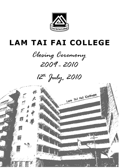

# **LAM TAI FAI COLLEGE**



 $12^{th}$  July, 2010

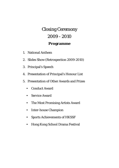# Closing Ceremony 2009 - 2010 **Programme**

- 1. National Anthem
- 2. Slides Show (Retrospection 2009-2010)
- 3. Principal's Speech
- 4. Presentation of Principal's Honour List
- 5. Presentation of Other Awards and Prizes
	- Conduct Award
	- Service Award
	- The Most Promising Artists Award
	- Inter-house Champion
	- Sports Achievements of HKSSF
	- Hong Kong School Drama Festival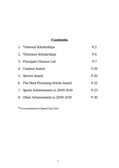# **Contents**

| 1. *Internal Scholarships           | P.2  |
|-------------------------------------|------|
| 2. *Entrance Scholarships           | P.6  |
| 3. Principal's Honour List          | P.7  |
| 4. Conduct Award                    | P.19 |
| 5. Service Award                    | P.20 |
| 6. The Most Promising Artists Award | P.22 |
| 7. Sports Achievements in 2009-2010 | P.23 |
| 8. Other Achievements in 2009-2010  | P.30 |

\*To be presented on Speech Day 2010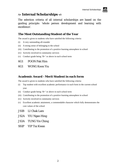

# **Internal Scholarships**

The selection criteria of all internal scholarships are based on the guiding principle: 'whole person development and learning with excellence'.

# **The Most Outstanding Student of the Year**

The award is given to students who have satisfied the following criteria:

- (i) A very outstanding all-rounder
- (ii) A strong sense of belonging to the school
- (iii) Contributing to the promotion of a positive learning atmosphere in school
- (iv) Actively involved in community services
- (v) Conduct grade being 'B+' or above in each school term
- 6G1 POON Pak Him
- 6G1 WONG Koon Yiu

# **Academic Award - Merit Student in each form**

The award is given to students who have satisfied the following criteria:

- (i) Top student with excellent academic performance in each form in the current school year
- (ii) Conduct grade being 'B+' or above in each school term
- (iii) Contributing to the promotion of a positive learning atmosphere in school
- (iv) Actively involved in community services
- (v) Excellent academic attainment, a commendable character which fully demonstrates the core values of the school
- JS1B LI Chak Lam
- JS2A YIU Ngan Hing
- JS3A TUNG Yin Ching
- SS1P YIP Tsz Kwan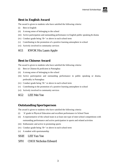#### **Best in English Award**

The award is given to students who have satisfied the following criteria:

- (i) Best in English
- (ii) A strong sense of belonging to the school
- (iii) Active participation and outstanding performance in English public speaking & drama
- (iv) Conduct grade being 'B+' or above in each school term
- (v) Contributing to the promotion of a positive learning atmosphere in school
- (vi) Actively involved in community services

#### 6G1 KWOK Hiu Laam Apple

#### **Best in Chinese Award**

The award is given to students who have satisfied the following criteria:

- (i) Best in Chinese & proficient in Putonghua
- (ii) A strong sense of belonging to the school
- (iii) Active participation and outstanding performance in public speaking or drama, preferably in Putonghua
- (iv) Conduct grade being 'B+' or above in each school term
- (v) Contributing to the promotion of a positive learning atmosphere in school
- (vi) Actively involved in community services

#### 6G2 LEE Mei Yee

#### **Outstanding Sportsperson**

The award is given to students who have satisfied the following criteria:

- (i) 'A' grade in Physical Education and excellent performance in School Team
- (ii) A representative of the school team in at least one type of inter-school competitions with outstanding performance and active participation in sports and related activities
- (iii) Enthusiastic and active in promoting sports
- (iv) Conduct grade being 'B+' or above in each school term
- (v) A student with sportsmanship
- SS1E LEE Yan Yee

#### 5FH CHOI Nicholas Edward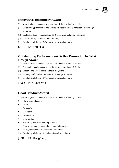

#### **Innovative Technology Award**

The award is given to students who have satisfied the following criteria:

- (i) Outstanding performance and active participation in IT & innovative technology activities
- (ii) Zealous and active in promoting IT  $\&$  innovative technology activities
- (iii) Creativity fully demonstrated in utilizing IT
- (iv) Conduct grade being 'B+' or above in each school term

#### SS1R LAI Yeuk Ho

#### **Outstanding Performance & Active Promotion in Art & Design Award**

The award is given to students who have satisfied the following criteria:

- (i) Outstanding performance and active participation in Art  $\&$  Design
- (ii) Creative and able to make aesthetic judgments
- (iii) Striving assiduously to promote Art & Design activities
- (iv) Conduct grade being 'B+' or above in each school term

#### JS3D PENG Sze Wai

#### **Good Conduct Award**

The award is given to students who have satisfied the following criteria:

- (i) Showing good conduct
- Courteous
- Respectful
- Considerate
- Cooperative
- Rule-abiding
- Exhibiting an earnest learning attitude
- Able to promote better conduct among schoolmates
- Be a good model of his/her fellow schoolmates
- (ii) Conduct grade being 'A' or above in each school term

#### JS3A LAI Kong Ting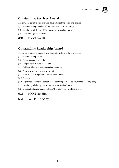

#### **Outstanding Services Award**

The award is given to students who have satisfied the following criteria:

- (i) An outstanding member of the Service or Uniform Group
- (ii) Conduct grade being 'B+' or above in each school term
- (iii) Outstanding service record

#### 6G1 POON Pak Him

#### **Outstanding Leadership Award**

The award is given to students who have satisfied the following criteria:

- (i) An outstanding leader
- (ii) Strong academic records
- (iii) Responsible, mature & sensible
- (iv) Self-confident and keen on decision making
- (v) Able to work on his/her own initiative
- (vi) Able to establish good relationship with others
- (vii) Creative
- (viii) Organized at least one school-based activity (House, Society, Prefect, Library, etc.)
- (ix) Conduct grade being 'B+' or above in each school term
- (x) Outstanding performance in CCA / Service Team / Uniform Group

#### 6G1 POON Pak Him

#### 6G1 NG Ho Yin Andy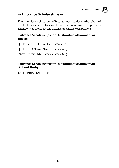# **Entrance Scholarships**

Entrance Scholarships are offered to new students who obtained excellent academic achievements or who were awarded prizes in territory-wide sports, art and design or technology competitions.

# **Entrance Scholarships for Outstanding Attainment in Sports**

| JS1B YEUNG Chung Hei (Wushu)      |  |
|-----------------------------------|--|
| JS1D CHAN Wun Sang (Fencing)      |  |
| SS1T CHOI Natasha Erica (Fencing) |  |

# **Entrance Scholarships for Outstanding Attainment in Art and Design**

SS1T EBISUTANI Yuka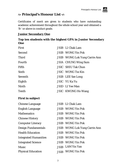

# **Principal's Honour List**

Certificates of merit are given to students who have outstanding academic achievement throughout the whole school year and obtained a 'B-' or above in conduct grade.

### **Junior Secondary One**

#### **Top ten students with the highest GPA in Junior Secondary One**

| First          | JS1B LI Chak Lam                     |
|----------------|--------------------------------------|
| Second         | <b>JS1B</b> WONG Yin Pok             |
| <b>Third</b>   | <b>JS1B</b> WONG Lok Yung Carrie Ann |
| Fourth         | <b>JS1A</b> CHUNG Wing Sum           |
| Fifth          | JS1C SHIU Tak Chun                   |
| <b>Sixth</b>   | JS1C WONG Tsz Kin                    |
| <b>Seventh</b> | JS1B LEE Sze Long                    |
| Eighth         | JS1C YU Ka Yu                        |
| <b>Ninth</b>   | <b>JS1D</b> LI Yee Man               |
| <b>Tenth</b>   | <b>JS1C</b> KWONG Ho Wang            |

| <b>Chinese Language</b>      | JS1B LI Chak Lam                     |
|------------------------------|--------------------------------------|
| <b>English Language</b>      | <b>JS1B</b> WONG Yin Pok             |
| <b>Mathematics</b>           | <b>JS1B</b> WONG Yin Pok             |
| <b>Chinese History</b>       | <b>JS1B</b> WONG Yin Pok             |
| <b>Computer Literacy</b>     | <b>JS1B</b> WONG Yin Pok             |
| Design Fundamentals          | <b>JS1B</b> WONG Lok Yung Carrie Ann |
| <b>Health Education</b>      | <b>JS1B</b> WONG Yin Pok             |
| <b>Integrated Humanities</b> | <b>JS1B</b> WONG Yin Pok             |
| <b>Integrated Science</b>    | <b>JS1B</b> WONG Yin Pok             |
| <b>Music</b>                 | JS1B LAM Yin Yan                     |
| <b>Physical Education</b>    | JS1B WONG Yin Pok                    |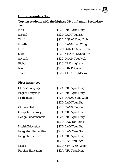# **Junior Secondary Two**

# **Top ten students with the highest GPA in Junior Secondary Two**

| <b>First</b> | <b>JS2A</b> YIU Ngan Hing     |  |
|--------------|-------------------------------|--|
| Second       | <b>JS2D</b> LAM Yeuk Sze      |  |
| <b>Third</b> | <b>JS2B</b> HSIAO Yung Chih   |  |
| Fourth       | <b>JS2B</b> TANG Shin Wing    |  |
| Fifth        | <b>JS2C</b> KAN Ka Man Teresa |  |
| <b>Sixth</b> | <b>JS2C</b> CHANG Kwong Hin   |  |
| Seventh      | <b>JS2C</b> POON Yuet Wah     |  |
| Eighth       | <b>JS2C</b> IP Kwing Lam      |  |
| Ninth        | <b>JS2D</b> LIN Pui Wing      |  |
| <b>Tenth</b> | JS2B CHEUNG Mei Yau           |  |

| <b>Chinese Language</b>      | <b>JS2A</b> YIU Ngan Hing   |
|------------------------------|-----------------------------|
| English Language             | JS2A YIU Ngan Hing          |
| <b>Mathematics</b>           | <b>JS2B</b> HSIAO Yung Chih |
|                              | <b>JS2D</b> LAM Yeuk Sze    |
| <b>Chinese History</b>       | <b>JS2B PANG Siu Nam</b>    |
| <b>Computer Literacy</b>     | <b>JS2A</b> YIU Ngan Hing   |
| <b>Design Fundamentals</b>   | <b>JS2A</b> YIU Ngan Hing   |
|                              | <b>JS2D</b> LAU Tsz Ching   |
| <b>Health Education</b>      | <b>JS2D</b> LAM Yeuk Sze    |
| <b>Integrated Humanities</b> | <b>JS2D</b> LAM Yeuk Sze    |
| <b>Integrated Science</b>    | <b>JS2A</b> YIU Ngan Hing   |
|                              | <b>JS2D LAM Yeuk Sze</b>    |
| <b>Music</b>                 | <b>JS2D CHOW Sze Wing</b>   |
| <b>Physical Education</b>    | <b>JS2A</b> YIU Ngan Hing   |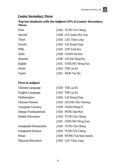# **Junior Secondary Three**

# **Top ten students with the highest GPA in Junior Secondary Three**

| First          | <b>JS3A TUNG Yin Ching</b>    |
|----------------|-------------------------------|
| Second         | <b>JS3B</b> LUI Anita Hoi Yue |
| <b>Third</b>   | <b>JS3D</b> LAU Tsun Ling     |
| Fourth         | <b>JS3A</b> LAI Kong Ting     |
| Fifth          | <b>JS3A</b> LEE Yuet Kei      |
| <b>Sixth</b>   | <b>JS3B CHAN Yik Kiu</b>      |
| <b>Seventh</b> | <b>JS3B</b> LEUNG Sing Ho     |
| Eighth         | <b>JS3C CHEUNG Wing Yan</b>   |
| <b>Ninth</b>   | JS3D TSE Lai Ki               |
| <b>Tenth</b>   | <b>JS3C MOK Tsz Ho</b>        |

| <b>Chinese Language</b>      | JS3D TSE Lai Ki                |
|------------------------------|--------------------------------|
| English Language             | JS3D TSE Lai Ki                |
| Mathematics                  | <b>JS3A</b> LAI Kong Ting      |
| <b>Chinese History</b>       | <b>JS3A LEUNG Cho Cheong</b>   |
| <b>Computer Literacy</b>     | <b>JS3B</b> CHAN Wing Yi       |
| Design Fundamentals          | <b>JS3D PENG Sze Wai</b>       |
| <b>Health Education</b>      | JS3A TUNG Yin Ching            |
|                              | <b>JS3C CHEUNG Wing Yan</b>    |
| <b>Integrated Humanities</b> | <b>JS3A TUNG Yin Ching</b>     |
| <b>Integrated Science</b>    | <b>JS3A TUNG Yin Ching</b>     |
| Music                        | <b>JS3B WONG Yat Sum Sarah</b> |
| <b>Physical Education</b>    | <b>JS3D</b> LAU Tsun Ling      |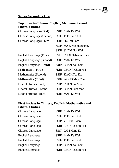

# **Senior Secondary One**

# **Top three in Chinese, English, Mathematics and Liberal Studies**

| <b>Chinese Language (First)</b>  | SS1E MAN Ka Wai           |
|----------------------------------|---------------------------|
| <b>Chinese Language (Second)</b> | SS1F TSE Chun Yat         |
| Chinese Language (Third)         | SS1E HO Pui Lam           |
|                                  | SS1F MA Kevin Hang Hey    |
|                                  | SS1F SHAM Hoi Wai         |
| <b>English Language (First)</b>  | SS1T CHOI Natasha Erica   |
| <b>English Language (Second)</b> | <b>SS1E</b> MAN Ka Wai    |
| <b>English Language (Third)</b>  | Ss1P CHAN Ka Laam         |
| <b>Mathematics (First)</b>       | SS1R LEUNG Chun Hei       |
| <b>Mathematics (Second)</b>      | SS1F KWOK Tsz Kiu         |
| <b>Mathematics (Third)</b>       | <b>SS1F</b> WONG Man Chun |
| Liberal Studies (First)          | SS1P CHAN Pui Shan        |
| Liberal Studies (Second)         | <b>SS1P CHAN Suet Man</b> |
| <b>Liberal Studies (Third)</b>   | SS1E MAN Ka Wai           |

# **First in class in Chinese, English, Mathematics and Liberal Studies**

| <b>Chinese Language</b> | SS1E MAN Ka Wai     |
|-------------------------|---------------------|
| <b>Chinese Language</b> | SS1F TSE Chun Yat   |
| <b>Chinese Language</b> | SS1P YIP Tsz Kwan   |
| <b>Chinese Language</b> | SS1R LEUNG Chun Hei |
| <b>Chinese Language</b> | SS1T LAM Hang Ki    |
| English Language        | SS1E MAN Ka Wai     |
| <b>English Language</b> | SS1F TSE Chun Yat   |
| <b>English Language</b> | SS1P CHAN Ka Laam   |
| <b>English Language</b> | SS1R LEUNG Chun Hei |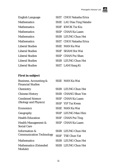

| <b>English Language</b> | SS1T CHOI Natasha Erica          |
|-------------------------|----------------------------------|
| <b>Mathematics</b>      | <b>SS1E</b> LAU Hau Ying Natalie |
| <b>Mathematics</b>      | <b>SS1F KWOK Tsz Kiu</b>         |
| <b>Mathematics</b>      | SS1P CHAN Ka Laam                |
| <b>Mathematics</b>      | SS1R LEUNG Chun Hei              |
| <b>Mathematics</b>      | SS1T CHOI Natasha Erica          |
| <b>Liberal Studies</b>  | <b>SS1E</b> MAN Ka Wai           |
| <b>Liberal Studies</b>  | <b>SS1F</b> SHAM Hoi Wai         |
| <b>Liberal Studies</b>  | SS1P CHAN Pui Shan               |
| <b>Liberal Studies</b>  | SS1R LEUNG Chun Hei              |
| <b>Liberal Studies</b>  | SS1T LAM Hang Ki                 |

| Business, Accounting &          |        | SS1E MAN Ka Wai        |
|---------------------------------|--------|------------------------|
| <b>Financial Studies</b>        |        |                        |
| Chemistry                       |        | SS1R LEUNG Chun Hei    |
| <b>Chinese History</b>          |        | SS1R CHANG Shun Yee    |
| <b>Combined Science</b>         |        | SS1P CHAN Ka Laam      |
| (Biology and Physics)           |        | SS1P YIP Tsz Kwan      |
| <b>Economics</b>                |        | <b>SS1E</b> MAN Ka Wai |
| Geography                       |        | SS1P LEUNG Man Him     |
| <b>Health Education</b>         |        | SS1F CHAN Pui Ting     |
| Health Management &             | SS1P - | <b>CHAN Ka Laam</b>    |
| <b>Social Care</b>              |        |                        |
| Information &                   |        | SS1R LEUNG Chun Hei    |
| <b>Communication Technology</b> |        | SS1F TSE Chun Yat      |
| <b>Mathematics</b>              |        | SS1R LEUNG Chun Hei    |
| <b>Mathematics (Extended)</b>   |        | SS1R LEUNG Chun Hei    |
| Module)                         |        |                        |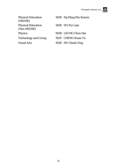

Physical Education (HKDSE) Physical Education (Non HKDSE) Physics SS1R LEUNG Chun Hei Technology and Living SS1T CHENG Kwan Yu

# SS1E Ng Ming Hin Kenniz

SS1E HO Pui Lam

- 
- 
- Visual Arts SS1E HO Cheuk Ying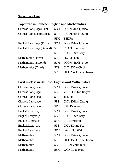

# **Secondary Five**

# **Top three in Chinese, English and Mathematics**

| <b>Chinese Language (First)</b>  | 5CH | <b>POON Vin Ci Joyce</b>    |
|----------------------------------|-----|-----------------------------|
| <b>Chinese Language (Second)</b> | 5PS | <b>CHAN Ming Chung</b>      |
|                                  | 5FH | <b>TSE Fei</b>              |
| <b>English Language (First)</b>  | 5CH | POON Vin Ci Joyce           |
| <b>English Language (Second)</b> | 5PS | <b>CHAN Dung Yee</b>        |
|                                  | 5ES | <b>LEUNG Sin Ling</b>       |
| <b>Mathematics (First)</b>       | 5PS | HO Lok Lam                  |
| <b>Mathematics (Second)</b>      | 5CH | <b>POON Vin Ci Joyce</b>    |
| <b>Mathematics (Third)</b>       | 5ES | <b>CHENG Yu Chieh</b>       |
|                                  | 5ES | <b>HUI Cheuk Lam Steven</b> |

# **First in class in Chinese, English and Mathematics**

| <b>Chinese Language</b> | 5CH | <b>POON Vin Ci Joyce</b>    |
|-------------------------|-----|-----------------------------|
| <b>Chinese Language</b> | 5ES | <b>YUEN Chi Kin Roger</b>   |
| <b>Chinese Language</b> | 5FH | <b>TSE Fei</b>              |
| <b>Chinese Language</b> | 5PS | <b>CHAN Ming Chung</b>      |
| <b>Chinese Language</b> | 5TH | <b>LAU Kam Yam</b>          |
| <b>English Language</b> | 5CH | <b>POON Vin Ci Joyce</b>    |
| <b>English Language</b> | 5ES | <b>LEUNG Sin Ling</b>       |
| <b>English Language</b> | 5FH | <b>LIU</b> Long Hin         |
| <b>English Language</b> | 5PS | <b>CHAN Dung Yee</b>        |
| <b>English Language</b> | 5TH | Wong Hoi Wai                |
| <b>Mathematics</b>      | 5CH | <b>POON Vin Ci Joyce</b>    |
| <b>Mathematics</b>      | 5ES | <b>HUI Cheuk Lam Steven</b> |
| <b>Mathematics</b>      | 5ES | <b>CHENG Yu Chieh</b>       |
| <b>Mathematics</b>      | 5FH | WONG Kai Hon                |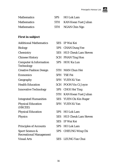

| <b>Mathematics</b> | 5PS HO Lok Lam           |
|--------------------|--------------------------|
| <b>Mathematics</b> | 5TH KAN Kwan Yuet Julian |
| <b>Mathematics</b> | 5TH NGAN Chin Ngo        |

| <b>Additional Mathematics</b>                                | 5ES | IP Wai Kei                      |
|--------------------------------------------------------------|-----|---------------------------------|
| <b>Biology</b>                                               | 5PS | <b>CHAN Dung Yee</b>            |
| Chemistry                                                    |     | <b>5ES</b> HUI Cheuk Lam Steven |
| <b>Chinese History</b>                                       |     | 5CH PHAN Ting Hon               |
| <b>Computer &amp; Information</b><br><b>Technology</b>       | 5PS | <b>HOU Ka Lun</b>               |
| <b>Creative Fashion Design</b>                               |     | 5TH MAN Chun Hei                |
| <b>Economics</b>                                             | 5FH | <b>TSE Fei</b>                  |
| Geography                                                    |     | 5FH YUEN Ki Yan                 |
| <b>Health Education</b>                                      |     | 5CH POON Vin Ci Joyce           |
| <b>Innovative Technology</b>                                 |     | 5PS CHOI Hei Ting               |
|                                                              |     | 5TH KAN Kwan Yuet Julian        |
| <b>Integrated Humanities</b>                                 | 5ES | YUEN Chi Kin Roger              |
| <b>Physical Education</b><br>(HKCEE)                         |     | 5FH YUEN Ki Yan                 |
| <b>Physical Education</b>                                    | 5PS | <b>HO Lok Lam</b>               |
| <b>Physics</b>                                               |     | <b>5ES</b> HUI Cheuk Lam Steven |
|                                                              |     | 5ES IP Wai Kei                  |
| <b>Principles of Accounts</b>                                | 5PS | <b>HO Lok Lam</b>               |
| <b>Sport Science &amp;</b><br><b>Recreational Management</b> | 5PS | <b>CHEUNG Wing Chi</b>          |
| <b>Visual Arts</b>                                           | 5ES | <b>LEUNG Yan Chui</b>           |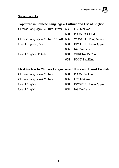# **Secondary Six**

# **Top three in Chinese Language & Culture and Use of English**

| Chinese Language & Culture (First) 6G2 LEE Mei Yee           |                 |                            |
|--------------------------------------------------------------|-----------------|----------------------------|
|                                                              | 6G1             | <b>POON PAK HIM</b>        |
| Chinese Language & Culture (Third) 6G2 WONG Hei Tung Natalie |                 |                            |
| Use of English (First)                                       | 6G1             | <b>KWOK Hiu Laam Apple</b> |
|                                                              | 6G <sub>2</sub> | NG Yan Lam                 |
| Use of English (Third)                                       | 6G1             | <b>CHEUNG Ka Yue</b>       |
|                                                              | 6G1             | <b>POON Pak Him</b>        |

# **First in class in Chinese Language & Culture and Use of English**

| Chinese Language & Culture | 6G1 | <b>POON Pak Him</b>     |
|----------------------------|-----|-------------------------|
| Chinese Language & Culture |     | 6G2 LEE Mei Yee         |
| Use of English             |     | 6G1 KWOK Hiu Laam Apple |
| Use of English             |     | 6G2 NG Yan Lam          |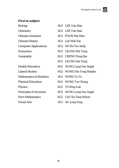

- 
- 
- 
- 
- 
- 
- 
- 
- Mathematics & Statistics 6G1 WONG To To
- 
- 
- 
- 
- 
- Biology 6G1 LEE Yuk Man Chemistry 6G1 LEE Yuk Man Chinese Literature 6G1 POON Pak Him Chinese History 6G1 LAI Hok Yee Computer Applications 6G1 NG Ho Yin Andy Economics 6G2 LEUNG Hei Tung Geography 6G2 CHENG Fung Sze 6G2 LEUNG Hei Tung Health Education 6G2 HUNG Lung Yan Angel Liberal Studies 6G2 WONG Hei Tung Natalie Physical Education 6G2 WONG Tsz Chung Physics 6G2 TO King Lok Principles of Accounts 6G2 HUNG Lung Yan Angel Pure Mathematics 6G2 LAU Ka Tsun Kelvin
- Visual Arts 6G1 AU Long Ying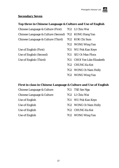# **Secondary Seven**

### **Top three in Chinese Language & Culture and Use of English**

Chinese Language & Culture (First) 7G2 LI Chiu Wai

Chinese Language & Culture (Second) 7G2 KONG Hang Yan

Chinese Language & Culture (Third) 7G2 KOK Chi Sum

- 7G2 WONG Wing Yan
- Use of English (First) 7G1 WU Pok Kan Keye
- Use of English (Second) 7G1 SIU Oi Man Flora
- Use of English (Third) 7G1 CHOI Yee Like Elizabeth
	- 7G2 CHUNG Ka Kei
	- 7G2 WONG Oi Nam Holly
	- 7G2 WONG Wing Yan

# **First in class in Chinese Language & Culture and Use of English**

Chinese Language & Culture 7G1 TSE Sze Nga Chinese Language & Culture 7G2 LI Chiu Wai Use of English 7G1 WU Pok Kan Keye Use of English 7G2 WONG Oi Nam Holly Use of English 7G2 CHUNG Ka Kei Use of English 7G2 WONG Wing Yan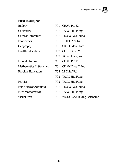

| <b>Biology</b>                      | 7G1 CHAU Pui Ki              |
|-------------------------------------|------------------------------|
| Chemistry                           | 7G2 TANG Hiu Fung            |
| <b>Chinese Literature</b>           | 7G2 LEUNG Wai Yung           |
| <b>Economics</b>                    | 7G1 HSIEH Yee Ki             |
| Geography                           | 7G1 SIU Oi Man Flora         |
| <b>Health Education</b>             | 7G2 CHUNG Pui Yi             |
|                                     | 7G2 KONG Hang Yan            |
| <b>Liberal Studies</b>              | 7G1 CHAU Pui Ki              |
| <b>Mathematics &amp; Statistics</b> | 7G1 CHAN Chee Ching          |
| <b>Physical Education</b>           | 7G2 LI Chiu Wai              |
|                                     | 7G2 TANG Hiu Fung            |
| <b>Physics</b>                      | 7G2 TANG Hiu Fung            |
| <b>Principles of Accounts</b>       | 7G2 LEUNG Wai Yung           |
| <b>Pure Mathematics</b>             | 7G2 TANG Hiu Fung            |
| <b>Visual Arts</b>                  | 7G1 WONG Cheuk Ying Germaine |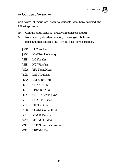# **Exercic Award**  $\textless$

Certificates of merit are given to students who have satisfied the following criteria:

- (i) Conduct grade being 'A-' or above in each school term
- (ii) Nominated by class teachers for possessing attributes such as respectfulness, diligence and a strong sense of responsibility
	- JS1B LI Chak Lam
	- JS1C KWONG Ho Wang
	- JS1D LO Yin Yin
	- JS1D NG Wing Yan
	- JS2A YIU Ngan Hing
	- JS2D LAM Yeuk Sze
	- JS3A LAI Kong Ting
	- JS3B CHAN Yik Kiu
	- JS3B LEE Chiu Yue
	- JS3C CHEUNG Wing Yan
	- SS1P CHAN Pui Shan
	- SS1P YIP Tsz Kwan
	- SS1R SHAM Kin Fai Kent
	- SS1F KWOK Tsz Kiu
	- SS1F SHUM Hoi Wai
	- 6G2 HUNG Lung Yan Angel
	- 6G2 LEE Mei Yee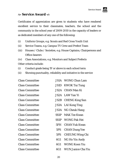# **Service Award**

Certificates of appreciation are given to students who have rendered excellent service to their classmates, teachers, the school and the community in the school year of 2009-2010 in the capacity of leaders or as dedicated members of any one of the following:

- (i) Uniform Groups, e.g. Scouts and Red Cross Youth Unit
- (ii) Service Teams, e.g. Campus TV Crew and Prefect Team
- (iii) Houses / Clubs / Societies, e.g. House Captains, Chairpersons and Office-bearers

(iv) Class Associations, e.g. Monitors and Subject Prefects Other criteria include:

- (i) Conduct grade being 'B' or above in each school term
- (ii) Showing punctuality, reliability and initiative in the service

| <b>Class Committee</b> |                   | JS1A WONG Chun Lam         |
|------------------------|-------------------|----------------------------|
| <b>Class Committee</b> |                   | <b>JS1D</b> KWOK Tsz Tung  |
| <b>Class Committee</b> |                   | JS2A CHAN Man Ki           |
| <b>Class Committee</b> |                   | JS2A LAW Yan Yi            |
| <b>Class Committee</b> |                   | <b>JS2B</b> CHENG King Sun |
| <b>Class Committee</b> |                   | JS3A LAI Kong Ting         |
| <b>Class Committee</b> |                   | <b>JS3A</b> NG Cheuk Hang  |
| <b>Class Committee</b> | SS <sub>1</sub> P | <b>MAK Tze Kwan</b>        |
| <b>Class Committee</b> | SS1P              | <b>WONG Pak Hei</b>        |
| <b>Class Committee</b> | 5FH               | <b>CHAN Yuk Kwan</b>       |
| <b>Class Committee</b> | 5PS               | <b>CHAN Dung Yee</b>       |
| <b>Class Committee</b> | 5PS               | <b>CHEUNG Wing Chi</b>     |
| <b>Class Committee</b> | 6G1               | NG Ho Yin Andy             |
| <b>Class Committee</b> | 6G1               | <b>WONG Koon Yiu</b>       |
| <b>Class Committee</b> | 6G1               | <b>WUN Janice Cha Yiu</b>  |
|                        |                   |                            |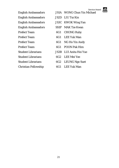Service Awar

| ırd |  |
|-----|--|
|-----|--|

|                            |        | Service A                         |
|----------------------------|--------|-----------------------------------|
| <b>English Ambassadors</b> |        | <b>JS1A</b> WONG Chun Yin Michael |
| <b>English Ambassadors</b> |        | JS2D LIU Tsz Kin                  |
| <b>English Ambassadors</b> |        | JS3C KWOK Wing Yan                |
| <b>English Ambassadors</b> | SS1P   | <b>MAK Tze Kwan</b>               |
| <b>Prefect Team</b>        | 6G1    | <b>CHONG Ruby</b>                 |
| <b>Prefect Team</b>        | 6G1 -  | <b>LEE Yuk Man</b>                |
| <b>Prefect Team</b>        | 6G1    | NG Ho Yin Andy                    |
| <b>Prefect Team</b>        | 6G1    | <b>POON Pak Him</b>               |
| <b>Student Librarians</b>  | JS3B - | LUI Anita Hoi Yue                 |
| <b>Student Librarians</b>  | 6G2 -  | LEE Mei Yee                       |
| <b>Student Librarians</b>  | 6G2    | <b>LEUNG Ngo Suet</b>             |
| Christian Fellowship       | 6G1    | <b>LEE Yuk Man</b>                |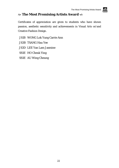# **The Most Promising Artists Award**

Certificates of appreciation are given to students who have shown passion, aesthetic sensitivity and achievements in Visual Arts or/and Creative Fashion Design.

- JS1B WONG Lok Yung Carrie Ann
- JS3B TSANG Hau Yee
- JS3D LEE Yan Lam Jasmine
- SS1E HO Cheuk Ying
- SS1E AU Wing Cheung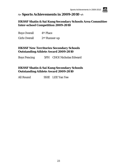

# **Sports Achievements in 2009-2010**

#### **HKSSF Shatin & Sai Kung Secondary Schools Area Committee Inter-school Competition 2009-2010**

Boys Overall 4th Place

Girls Overall 2nd Runner-up

### **HKSSF New Territories Secondary Schools Outstanding Athlete Award 2009-2010**

Boys Fencing 5FH CHOI Nicholas Edward

# **HKSSF Shatin & Sai Kung Secondary Schools Outstanding Athlete Award 2009-2010**

All Round SS1E LEE Yan Yee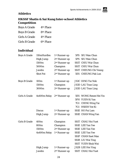

# **Athletics**

# **HKSSF Shatin & Sai Kung Inter-school Athletics Competition**

| <b>Boys A Grade</b>  | 4 <sup>th</sup> Place |
|----------------------|-----------------------|
| <b>Boys B Grade</b>  | 8th Place             |
| <b>Girls A Grade</b> | 4th Place             |
| <b>Girls B Grade</b> | 6 <sup>th</sup> Place |

| <b>Boys A Grade</b>  | 110mHurdles      | 1 <sup>st</sup> Runner-up | 5PS SIU Man Chun          |
|----------------------|------------------|---------------------------|---------------------------|
|                      | <b>High Jump</b> | 2 <sup>nd</sup> Runner-up | 5PS SIU Man Chun          |
|                      | 1500m            | 2 <sup>nd</sup> Runner-up | SS1T CHIU Wai Chun        |
|                      | 5000m            | Champion                  | SS1T CHIU Wai Chun        |
|                      | <b>Javelin</b>   | 2 <sup>nd</sup> Runner-up | SS1T CHEUNG Chi Yeung     |
|                      | <b>Shot Put</b>  | 2 <sup>nd</sup> Runner-up | 5ES CHEUNG Pak Lun        |
| <b>Boys B Grade</b>  | 100m             | 1 <sup>st</sup> Runner-up | <b>JS3C DING Tsz Nok</b>  |
|                      | 1500m            | Champion                  | <b>JS3D LAU Tsun Ling</b> |
|                      | 3000m            | 2 <sup>nd</sup> Runner-up | <b>JS3D LAU Tsun Ling</b> |
| <b>Girls A Grade</b> | 4x400m Relay     | 2 <sup>nd</sup> Runner-up | 5ES WONG Renee Hei Yin    |
|                      |                  |                           | 5FH YUEN Ki Yan           |
|                      |                  |                           | 7G1 CHING Wing Tai        |
|                      |                  |                           | 7G1 HSIEH Yee Ki          |
|                      | <b>Discus</b>    | 1 <sup>st</sup> Runner-up | SS1E HO Pui Lam           |
|                      | <b>High Jump</b> | 2 <sup>nd</sup> Runner-up | SS1E CHAN Wing Yan        |
| <b>Girls B Grade</b> | 400m             | Champion                  | <b>SS1T CHAU Hoi Yuet</b> |
|                      | 800m             | Champion                  | <b>SS1E LEE Yan Yee</b>   |
|                      | 1500m            | 2 <sup>nd</sup> Runner-up | <b>SS1E LEE Yan Yee</b>   |
|                      | 4x400m Relay     | 1 <sup>st</sup> Runner-up | <b>SS1E LEE Yan Yee</b>   |
|                      |                  |                           | <b>SS1P CHAN Suet Man</b> |
|                      |                  |                           | SS1R LIU Wai Ting         |
|                      |                  |                           | SS1T YUEN Shuk Wai        |
|                      | <b>High Jump</b> | 1 <sup>st</sup> Runner-up | <b>JS2B LEE Hoi Ying</b>  |
|                      | <b>Javelin</b>   | 2 <sup>nd</sup> Runner-up | <b>SS1T CHAU Hoi Yuet</b> |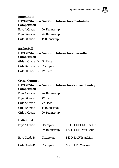

# **Badminton HKSSF Shatin & Sai Kung Inter-school Badminton Competition**

| <b>Boys A Grade</b>  | 2 <sup>nd</sup> Runner-up |
|----------------------|---------------------------|
| <b>Boys B Grade</b>  | 2 <sup>nd</sup> Runner-up |
| <b>Girls C Grade</b> | 1 <sup>st</sup> Runner-up |

#### **Basketball**

# **HKSSF Shatin & Sai Kung Inter-school Basketball Competition**

| Girls A Grade (I) 4th Place |  |
|-----------------------------|--|
| Girls B Grade (I) Champion  |  |

Girls C Grade (I) 4th Place

#### **Cross-Country**

# **HKSSF Shatin & Sai Kung Inter-school Cross-Country Competition**

| <b>Boys A Grade</b>  | 2 <sup>nd</sup> Runner-up |
|----------------------|---------------------------|
| <b>Boys B Grade</b>  | 4 <sup>th</sup> Place     |
| <b>Girls A Grade</b> | 7th Place                 |
| <b>Girls B Grade</b> | 1 <sup>st</sup> Runner-up |
| <b>Girls C Grade</b> | 2 <sup>nd</sup> Runner-up |

| <b>Boys A Grade</b>  | Champion        | 5ES CHEUNG Tsz Kit        |
|----------------------|-----------------|---------------------------|
|                      | $2nd$ Runner-up | SS1T CHIU Wai Chun        |
| <b>Boys Grade B</b>  | Champion        | <b>JS3D LAU Tsun Ling</b> |
| <b>Girls Grade B</b> | Champion        | <b>SS1E</b> LEE Yan Yee   |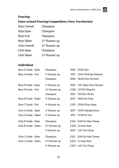

# **Fencing**

# **Inter-school Fencing Competition (New Territories)**

| <b>Boys Overall</b>  | Champion                  |
|----------------------|---------------------------|
| <b>Boys Epee</b>     | Champion                  |
| <b>Boys Foil</b>     | Champion                  |
| <b>Boys Sabre</b>    | 2 <sup>nd</sup> Runner-up |
| <b>Girls Overall</b> | 2 <sup>nd</sup> Runner-up |
| <b>Girls Epee</b>    | Champion                  |
| <b>Girls Sabre</b>   | 2 <sup>nd</sup> Runner-up |

| <b>Boys A Grade - Epee</b>   | Champion                  | <b>SS1E</b> | <b>FONG Kiu</b>               |
|------------------------------|---------------------------|-------------|-------------------------------|
| <b>Boys A Grade - Foil</b>   | 1 <sup>st</sup> Runner-up | 5FH         | <b>CHOI Nicholas Edward</b>   |
|                              | Champion                  | <b>SS1R</b> | <b>SHAM Kin Fai Kent</b>      |
| <b>Boys B Grade - Epee</b>   | 1 <sup>st</sup> Runner-up |             | SS1P YAU Shun Him Himson      |
| <b>Boys B Grade - Foil</b>   | 2 <sup>nd</sup> Runner-up |             | JS3B LEUNG Sing Ho            |
|                              | Champion                  | <b>SS1T</b> | YEUNG Chi Ka                  |
| <b>Boys B Grade - Sabre</b>  | 1st Runner-up             | <b>SS1T</b> | <b>MAK Ho Fung</b>            |
| <b>Boys C Grade - Foil</b>   | 1st Runner-up             |             | JS1D CHAN Wun Sang            |
| Girls A Grade - Epee         | 1 <sup>st</sup> Runner-up | <b>SS1T</b> | <b>CHOI Natasha Erica</b>     |
| <b>Girls A Grade - Sabre</b> | 1st Runner-up             | 5FH         | YUEN Ki Yan                   |
| <b>Girls B Grade - Epee</b>  | Champion                  |             | JS3A KAN Ka Man Teresa        |
| <b>Girls B Grade - Sabre</b> | 2 <sup>nd</sup> Runner-up | <b>JS3B</b> | LI Kwai Sum                   |
|                              | 1st Runner-up             |             | SS1P LAU Tsz Ching            |
| Girls C Grade - Epee         | Champion                  |             | <b>JS2C</b> KAN Ka Man Teresa |
| <b>Girls C Grade - Sabre</b> | 2 <sup>nd</sup> Runner-up |             | JS2A LI Kwai Sum              |
|                              | 1 <sup>st</sup> Runner-up |             | JS2D LAU Tsz Ching            |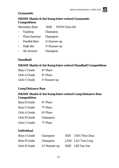

#### **Gymnastic**

# **HKSSF Shatin & Sai Kung Inter-school Gymnastic Competition**

Secondary Boys SS1E POON Chun Kit

- Vaulting Champion
- Floor Exercise Champion
- Parallel Bars 1st Runner-up
- High Bar 1st Runner-up
- All-Around Champion

#### **Handball**

#### **HKSSF Shatin & Sai Kung Inter-school Handball Competition**

| <b>Boys C Grade</b> | 4 <sup>th</sup> Place     |
|---------------------|---------------------------|
| Girls A Grade       | 4 <sup>th</sup> Place     |
| Girls C Grade       | 1 <sup>st</sup> Runner-up |

#### **Long Distance Run**

#### **HKSSF Shatin & Sai Kung Inter-school Long Distance Run Competition**

| <b>Boys B Grade</b>  | 4 <sup>th</sup> Place |
|----------------------|-----------------------|
| <b>Boys C Grade</b>  | 7 <sup>th</sup> Place |
| Girls A Grade        | 6 <sup>th</sup> Place |
| <b>Girls B Grade</b> | Champion              |
| Girls C Grade        | 7th Place             |
|                      |                       |

| <b>Boys A Grade</b>  | Champion        | SS1T CHIU Wai Chun |
|----------------------|-----------------|--------------------|
| <b>Boys B Grade</b>  | Champion        | JS3D LAU Tsun Ling |
| <b>Girls B Grade</b> | $2nd$ Runner-up | SS1E LEE Yan Yee   |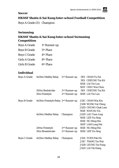#### **Soccer**

# **HKSSF Shatin & Sai Kung Inter-school Football Competition**

Boys A Grade (II) Champion

# **Swimming**

# **HKSSF Shatin & Sai Kung Inter-school Swimming Competition**

| <b>Boys A Grade</b>  | 1 <sup>st</sup> Runner-up |
|----------------------|---------------------------|
| <b>Boys B Grade</b>  | 5 <sup>th</sup> Place     |
| <b>Boys C Grade</b>  | 4 <sup>th</sup> Place     |
| <b>Girls A Grade</b> | 8 <sup>th</sup> Place     |
| Girls B Grade        | 6 <sup>th</sup> Place     |

| <b>Boys A Grade</b> | 4x50m Medley Relay                              | $2nd$ Runner-up           | 5ES CHAN Yu Fai            |
|---------------------|-------------------------------------------------|---------------------------|----------------------------|
|                     |                                                 |                           | 5ES CHEUNG Tsz Kit         |
|                     |                                                 |                           | <b>SS1E LAI Yin Lun</b>    |
|                     |                                                 |                           | SS1T CHIU Wai Chun         |
|                     | 200m Backstroke                                 | $2nd$ Runner-up           | 5ES CHEUNG Tsz Kit         |
|                     | 50m Freestyle                                   | 2 <sup>nd</sup> Runner-up | SS1E LAI Yin Lun           |
| <b>Boys B Grade</b> | 4x50m Freestyle Relay 2 <sup>nd</sup> Runner-up |                           | JS1C CHAN Wai Kin          |
|                     |                                                 |                           | <b>JS3B WONG Yat Ching</b> |
|                     |                                                 |                           | <b>JS3D CHUNG Chak Lam</b> |
|                     |                                                 |                           | <b>SS1E WAN Ho Yin</b>     |
|                     | 4x50m Medley Relay                              | Champion                  | <b>JS3D LAU Tsun Ling</b>  |
|                     |                                                 |                           | SS1E LEE Yiu Sing          |
|                     |                                                 |                           | SS1E NG Ming Hin           |
|                     |                                                 |                           | SS1P LAM Long Hei          |
|                     | 200m Freestyle                                  | 2 <sup>nd</sup> Runner-up | <b>SS1E NG Ming Hin</b>    |
|                     | <b>50m Breaststroke</b>                         | 2 <sup>nd</sup> Runner-up | <b>SS1E LEE Yiu Sing</b>   |
| <b>Boys C Grade</b> | 4x50m Medley Relay                              | Champion                  | <b>JS1A YUEN Pak Ho</b>    |
|                     |                                                 |                           | <b>JS1C TSANG Tsz Wai</b>  |
|                     |                                                 |                           | <b>JS2B LEUNG Tsz Fung</b> |
|                     |                                                 |                           | <b>JS2D LAI Yik Hang</b>   |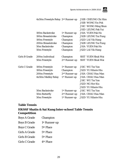|                      | 4x50m Freestyle Relay 2nd Runner-up |                           | <b>JS1B CHEUNG Chi Him</b> |
|----------------------|-------------------------------------|---------------------------|----------------------------|
|                      |                                     |                           | <b>JS1B WONG Yin Pok</b>   |
|                      |                                     |                           | <b>JS1C</b> WONG Ming Shun |
|                      |                                     |                           | <b>JS1D LEUNG Pak Yui</b>  |
|                      | 100m Backstroke                     | 1 <sup>st</sup> Runner-up | <b>JS1A YUEN Pak Ho</b>    |
|                      | 100m Breaststroke                   | Champion                  | <b>JS2B LEUNG Tsz Fung</b> |
|                      | 100m Freestyle                      | Champion                  | <b>JS2D LAI Yik Hang</b>   |
|                      | 200m Breaststroke                   | Champion                  | <b>JS2B LEUNG Tsz Fung</b> |
|                      | <b>50m Backstroke</b>               | Champion                  | <b>JS1A YUEN Pak Ho</b>    |
|                      | 50m Freestyle                       | Champion                  | <b>JS2D LAI Yik Hang</b>   |
| Girls B Grade        | 200m Individual                     | Champion                  | <b>SS1T YUEN Shuk Wai</b>  |
|                      | 50m Freestyle                       | 2 <sup>nd</sup> Runner-up | SS1T YUEN Shuk Wai         |
| <b>Girls C Grade</b> | 100m Freestyle                      | 1 <sup>st</sup> Runner-up | <b>JS1C</b> WU Tsz Yan     |
|                      | 100m Freestyle                      | Champion                  | <b>JS2D YU Hilarie Hiu</b> |
|                      | 200m Freestyle                      | 2 <sup>nd</sup> Runner-up | JS1A CHAU Hau Man          |
|                      | 4x50m Medley Relay                  | 1 <sup>st</sup> Runner-up | <b>JS1A CHAU Hau Man</b>   |
|                      |                                     |                           | <b>JS1C</b> WU Tsz Yan     |
|                      |                                     |                           | <b>JS2D NG Hor Kiu</b>     |
|                      |                                     |                           | <b>JS2D YU Hilarie Hiu</b> |
|                      | <b>50m Backstroke</b>               | 1 <sup>st</sup> Runner-up | JS1C WU Tsz Yan            |
|                      | 50m Butterfly                       | 2 <sup>nd</sup> Runner-up | JS1A CHAU Hau Man          |
|                      | 50m Freestyle                       | 1 <sup>st</sup> Runner-up | JS2D YU Hilarie Hiu        |
|                      |                                     |                           |                            |

# **Table Tennis**

# **HKSSF Shatin & Sai Kung Inter-school Table Tennis Competition**

| <b>Boys A Grade</b>  | Champion                  |
|----------------------|---------------------------|
| <b>Boys B Grade</b>  | 1 <sup>st</sup> Runner-up |
| <b>Boys C Grade</b>  | 5 <sup>th</sup> Place     |
| <b>Girls A Grade</b> | 5 <sup>th</sup> Place     |
| <b>Girls B Grade</b> | 5 <sup>th</sup> Place     |
| <b>Girls C Grade</b> | 4th Place                 |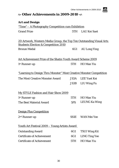| $\approx$ Other Achievements in 2009-2010 $\ll$                             |             |                          |  |
|-----------------------------------------------------------------------------|-------------|--------------------------|--|
| <b>Art and Design</b>                                                       |             |                          |  |
| <u> "Time" – A Photography Competition cum Exhibition</u>                   |             |                          |  |
| <b>Grand Prize</b>                                                          |             | 5TH LAU Kei Suet         |  |
| <u>2D Artwork, Western Media Group, the Top Ten Outstanding Visual Arts</u> |             |                          |  |
| <b>Students Election &amp; Competition 2010</b><br><b>Bronze Medal</b>      |             | 6G1 AU Long Ying         |  |
| <b>Art Achievement Prize of the Shatin Youth Award Scheme 2009</b>          |             |                          |  |
| 1 <sup>st</sup> Runner-up                                                   | 5TH         | <b>HO</b> Man Yiu        |  |
| <u>"Learning to Design Thru Monster" Most Creative Monster Competition</u>  |             |                          |  |
| The Most Creative Monster Award                                             |             | <b>JS3A</b> LEE Yuet Kei |  |
|                                                                             |             | JS3B LIU Wing Fu         |  |
| <b>My STYLE Fashion and Hair Show 2009</b>                                  |             |                          |  |
| 1 <sup>st</sup> Runner-up                                                   |             | 5TH HO Man Yiu           |  |
| The Best Material Award                                                     |             | 5PS LEUNG Ka Wing        |  |
| <b>Design Plus Competition</b>                                              |             |                          |  |
| 2 <sup>nd</sup> Runner-up                                                   | <b>SS1E</b> | <b>WAN Mei Yee</b>       |  |
| <u> Youth Art Festival 2009 - Young Artists Award</u>                       |             |                          |  |
| <b>Outstanding Award</b>                                                    | 6G1         | <b>TSUI Wing Kit</b>     |  |
| <b>Certificate of Achievement</b>                                           | 6G1         | <b>LING Ting Yee</b>     |  |
| <b>Certificate of Achievement</b>                                           | 5TH         | <b>HO</b> Man Yiu        |  |
|                                                                             |             |                          |  |

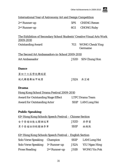Germaine



#### International Year of Astronomy Art and Design Competition

| 2 <sup>nd</sup> Runner-up | 5PS CHENG Renee |
|---------------------------|-----------------|
| 2 <sup>nd</sup> Runner-up | 6G1 CHONG Ruby  |

The Exhibition of Secondary School Students' Creative Visual Arts Work 2009-2010 Outstanding Award 7G1 WONG Cheuk Ying

The Second Art Ambassadors-in-School 2009-2010 Art Ambassador JS3D SIN Chung Hon

#### **Dance**

第四十六屆學校舞蹈節 現代舞獨舞組甲級獎 JS2A 吴芷晴

#### **Drama**

Hong Kong School Drama Festival 2009-2010 Award for Outstanding Stage Effect LTFC Drama Team Award for Outstanding Actor SS1P LAM Long Hei

#### **Public Speaking**

| 61 <sup>st</sup> Hong Kong Schools Speech Festival – Chinese Section |                   |     |  |
|----------------------------------------------------------------------|-------------------|-----|--|
| 女子普通話散文獨誦冠軍                                                          | JS3D              | 吴学富 |  |
| 男子普通話詩歌獨誦季軍                                                          | SS <sub>1</sub> P | 林朗熙 |  |

#### 61st Hong Kong Schools Speech Festival – English Section

| Solo Verse Speaking Champion                  |                 | SS <sub>1</sub> P | LAM Long Hei        |
|-----------------------------------------------|-----------------|-------------------|---------------------|
| Solo Verse Speaking 1 <sup>st</sup> Runner-up |                 | JS2A              | YIU Ngan Hing       |
| <b>Prose Reading</b>                          | $2nd$ Runner-up | JS1B              | <b>WONG Yin Pok</b> |